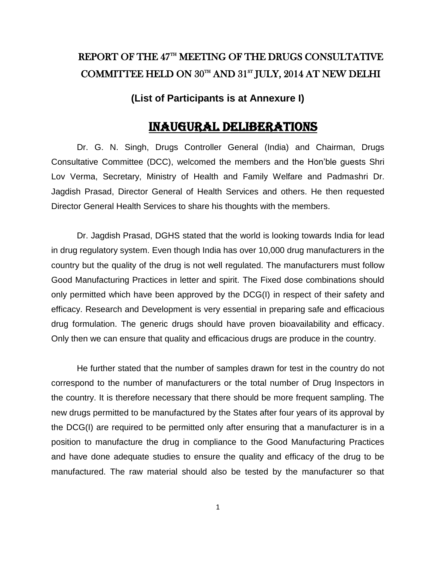# REPORT OF THE 47TH MEETING OF THE DRUGS CONSULTATIVE COMMITTEE HELD ON 30TH AND 31<sup>st</sup> JULY, 2014 AT NEW DELHI

**(List of Participants is at Annexure I)**

## Inaugural Deliberations

Dr. G. N. Singh, Drugs Controller General (India) and Chairman, Drugs Consultative Committee (DCC), welcomed the members and the Hon"ble guests Shri Lov Verma, Secretary, Ministry of Health and Family Welfare and Padmashri Dr. Jagdish Prasad, Director General of Health Services and others. He then requested Director General Health Services to share his thoughts with the members.

Dr. Jagdish Prasad, DGHS stated that the world is looking towards India for lead in drug regulatory system. Even though India has over 10,000 drug manufacturers in the country but the quality of the drug is not well regulated. The manufacturers must follow Good Manufacturing Practices in letter and spirit. The Fixed dose combinations should only permitted which have been approved by the DCG(I) in respect of their safety and efficacy. Research and Development is very essential in preparing safe and efficacious drug formulation. The generic drugs should have proven bioavailability and efficacy. Only then we can ensure that quality and efficacious drugs are produce in the country.

He further stated that the number of samples drawn for test in the country do not correspond to the number of manufacturers or the total number of Drug Inspectors in the country. It is therefore necessary that there should be more frequent sampling. The new drugs permitted to be manufactured by the States after four years of its approval by the DCG(I) are required to be permitted only after ensuring that a manufacturer is in a position to manufacture the drug in compliance to the Good Manufacturing Practices and have done adequate studies to ensure the quality and efficacy of the drug to be manufactured. The raw material should also be tested by the manufacturer so that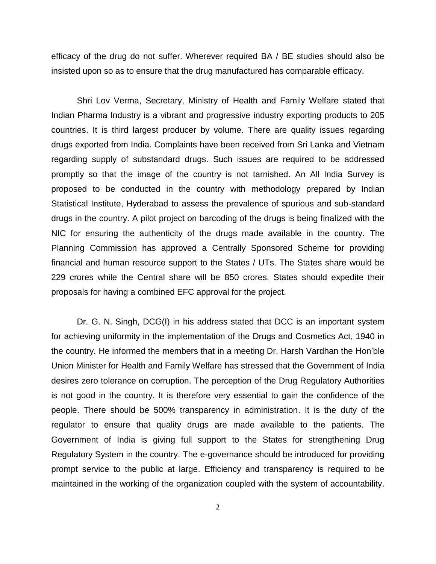efficacy of the drug do not suffer. Wherever required BA / BE studies should also be insisted upon so as to ensure that the drug manufactured has comparable efficacy.

Shri Lov Verma, Secretary, Ministry of Health and Family Welfare stated that Indian Pharma Industry is a vibrant and progressive industry exporting products to 205 countries. It is third largest producer by volume. There are quality issues regarding drugs exported from India. Complaints have been received from Sri Lanka and Vietnam regarding supply of substandard drugs. Such issues are required to be addressed promptly so that the image of the country is not tarnished. An All India Survey is proposed to be conducted in the country with methodology prepared by Indian Statistical Institute, Hyderabad to assess the prevalence of spurious and sub-standard drugs in the country. A pilot project on barcoding of the drugs is being finalized with the NIC for ensuring the authenticity of the drugs made available in the country. The Planning Commission has approved a Centrally Sponsored Scheme for providing financial and human resource support to the States / UTs. The States share would be 229 crores while the Central share will be 850 crores. States should expedite their proposals for having a combined EFC approval for the project.

Dr. G. N. Singh, DCG(I) in his address stated that DCC is an important system for achieving uniformity in the implementation of the Drugs and Cosmetics Act, 1940 in the country. He informed the members that in a meeting Dr. Harsh Vardhan the Hon"ble Union Minister for Health and Family Welfare has stressed that the Government of India desires zero tolerance on corruption. The perception of the Drug Regulatory Authorities is not good in the country. It is therefore very essential to gain the confidence of the people. There should be 500% transparency in administration. It is the duty of the regulator to ensure that quality drugs are made available to the patients. The Government of India is giving full support to the States for strengthening Drug Regulatory System in the country. The e-governance should be introduced for providing prompt service to the public at large. Efficiency and transparency is required to be maintained in the working of the organization coupled with the system of accountability.

2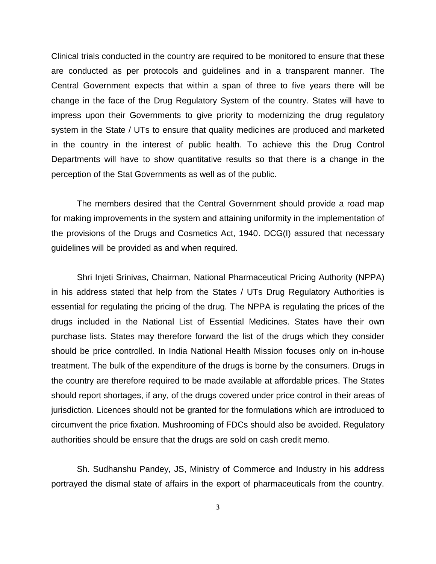Clinical trials conducted in the country are required to be monitored to ensure that these are conducted as per protocols and guidelines and in a transparent manner. The Central Government expects that within a span of three to five years there will be change in the face of the Drug Regulatory System of the country. States will have to impress upon their Governments to give priority to modernizing the drug regulatory system in the State / UTs to ensure that quality medicines are produced and marketed in the country in the interest of public health. To achieve this the Drug Control Departments will have to show quantitative results so that there is a change in the perception of the Stat Governments as well as of the public.

The members desired that the Central Government should provide a road map for making improvements in the system and attaining uniformity in the implementation of the provisions of the Drugs and Cosmetics Act, 1940. DCG(I) assured that necessary guidelines will be provided as and when required.

Shri Injeti Srinivas, Chairman, National Pharmaceutical Pricing Authority (NPPA) in his address stated that help from the States / UTs Drug Regulatory Authorities is essential for regulating the pricing of the drug. The NPPA is regulating the prices of the drugs included in the National List of Essential Medicines. States have their own purchase lists. States may therefore forward the list of the drugs which they consider should be price controlled. In India National Health Mission focuses only on in-house treatment. The bulk of the expenditure of the drugs is borne by the consumers. Drugs in the country are therefore required to be made available at affordable prices. The States should report shortages, if any, of the drugs covered under price control in their areas of jurisdiction. Licences should not be granted for the formulations which are introduced to circumvent the price fixation. Mushrooming of FDCs should also be avoided. Regulatory authorities should be ensure that the drugs are sold on cash credit memo.

Sh. Sudhanshu Pandey, JS, Ministry of Commerce and Industry in his address portrayed the dismal state of affairs in the export of pharmaceuticals from the country.

3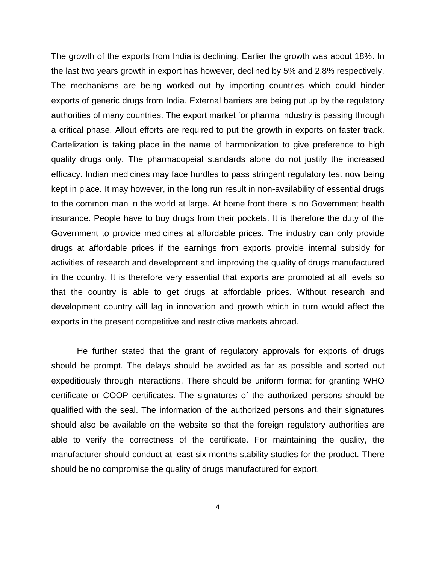The growth of the exports from India is declining. Earlier the growth was about 18%. In the last two years growth in export has however, declined by 5% and 2.8% respectively. The mechanisms are being worked out by importing countries which could hinder exports of generic drugs from India. External barriers are being put up by the regulatory authorities of many countries. The export market for pharma industry is passing through a critical phase. Allout efforts are required to put the growth in exports on faster track. Cartelization is taking place in the name of harmonization to give preference to high quality drugs only. The pharmacopeial standards alone do not justify the increased efficacy. Indian medicines may face hurdles to pass stringent regulatory test now being kept in place. It may however, in the long run result in non-availability of essential drugs to the common man in the world at large. At home front there is no Government health insurance. People have to buy drugs from their pockets. It is therefore the duty of the Government to provide medicines at affordable prices. The industry can only provide drugs at affordable prices if the earnings from exports provide internal subsidy for activities of research and development and improving the quality of drugs manufactured in the country. It is therefore very essential that exports are promoted at all levels so that the country is able to get drugs at affordable prices. Without research and development country will lag in innovation and growth which in turn would affect the exports in the present competitive and restrictive markets abroad.

He further stated that the grant of regulatory approvals for exports of drugs should be prompt. The delays should be avoided as far as possible and sorted out expeditiously through interactions. There should be uniform format for granting WHO certificate or COOP certificates. The signatures of the authorized persons should be qualified with the seal. The information of the authorized persons and their signatures should also be available on the website so that the foreign regulatory authorities are able to verify the correctness of the certificate. For maintaining the quality, the manufacturer should conduct at least six months stability studies for the product. There should be no compromise the quality of drugs manufactured for export.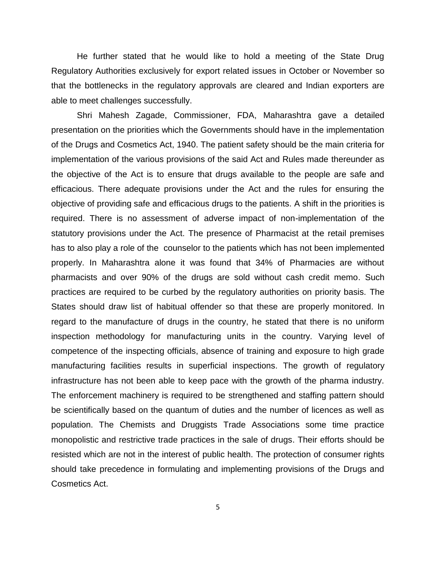He further stated that he would like to hold a meeting of the State Drug Regulatory Authorities exclusively for export related issues in October or November so that the bottlenecks in the regulatory approvals are cleared and Indian exporters are able to meet challenges successfully.

Shri Mahesh Zagade, Commissioner, FDA, Maharashtra gave a detailed presentation on the priorities which the Governments should have in the implementation of the Drugs and Cosmetics Act, 1940. The patient safety should be the main criteria for implementation of the various provisions of the said Act and Rules made thereunder as the objective of the Act is to ensure that drugs available to the people are safe and efficacious. There adequate provisions under the Act and the rules for ensuring the objective of providing safe and efficacious drugs to the patients. A shift in the priorities is required. There is no assessment of adverse impact of non-implementation of the statutory provisions under the Act. The presence of Pharmacist at the retail premises has to also play a role of the counselor to the patients which has not been implemented properly. In Maharashtra alone it was found that 34% of Pharmacies are without pharmacists and over 90% of the drugs are sold without cash credit memo. Such practices are required to be curbed by the regulatory authorities on priority basis. The States should draw list of habitual offender so that these are properly monitored. In regard to the manufacture of drugs in the country, he stated that there is no uniform inspection methodology for manufacturing units in the country. Varying level of competence of the inspecting officials, absence of training and exposure to high grade manufacturing facilities results in superficial inspections. The growth of regulatory infrastructure has not been able to keep pace with the growth of the pharma industry. The enforcement machinery is required to be strengthened and staffing pattern should be scientifically based on the quantum of duties and the number of licences as well as population. The Chemists and Druggists Trade Associations some time practice monopolistic and restrictive trade practices in the sale of drugs. Their efforts should be resisted which are not in the interest of public health. The protection of consumer rights should take precedence in formulating and implementing provisions of the Drugs and Cosmetics Act.

5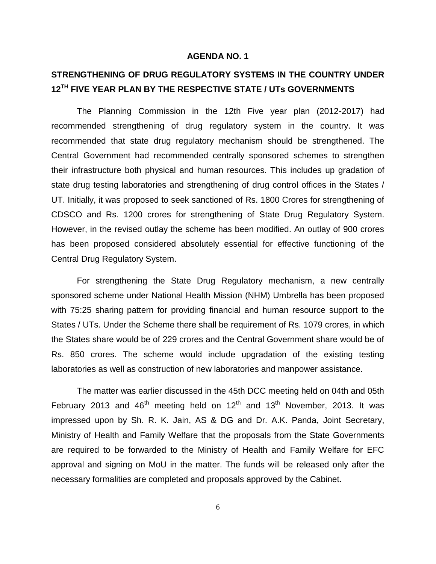## **STRENGTHENING OF DRUG REGULATORY SYSTEMS IN THE COUNTRY UNDER 12TH FIVE YEAR PLAN BY THE RESPECTIVE STATE / UTs GOVERNMENTS**

The Planning Commission in the 12th Five year plan (2012-2017) had recommended strengthening of drug regulatory system in the country. It was recommended that state drug regulatory mechanism should be strengthened. The Central Government had recommended centrally sponsored schemes to strengthen their infrastructure both physical and human resources. This includes up gradation of state drug testing laboratories and strengthening of drug control offices in the States / UT. Initially, it was proposed to seek sanctioned of Rs. 1800 Crores for strengthening of CDSCO and Rs. 1200 crores for strengthening of State Drug Regulatory System. However, in the revised outlay the scheme has been modified. An outlay of 900 crores has been proposed considered absolutely essential for effective functioning of the Central Drug Regulatory System.

For strengthening the State Drug Regulatory mechanism, a new centrally sponsored scheme under National Health Mission (NHM) Umbrella has been proposed with 75:25 sharing pattern for providing financial and human resource support to the States / UTs. Under the Scheme there shall be requirement of Rs. 1079 crores, in which the States share would be of 229 crores and the Central Government share would be of Rs. 850 crores. The scheme would include upgradation of the existing testing laboratories as well as construction of new laboratories and manpower assistance.

The matter was earlier discussed in the 45th DCC meeting held on 04th and 05th February 2013 and  $46<sup>th</sup>$  meeting held on  $12<sup>th</sup>$  and  $13<sup>th</sup>$  November, 2013. It was impressed upon by Sh. R. K. Jain, AS & DG and Dr. A.K. Panda, Joint Secretary, Ministry of Health and Family Welfare that the proposals from the State Governments are required to be forwarded to the Ministry of Health and Family Welfare for EFC approval and signing on MoU in the matter. The funds will be released only after the necessary formalities are completed and proposals approved by the Cabinet.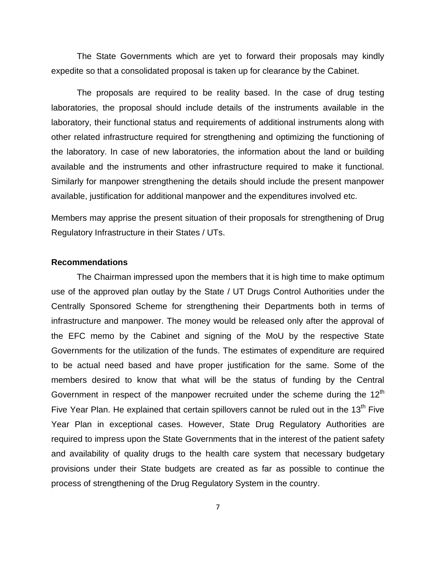The State Governments which are yet to forward their proposals may kindly expedite so that a consolidated proposal is taken up for clearance by the Cabinet.

The proposals are required to be reality based. In the case of drug testing laboratories, the proposal should include details of the instruments available in the laboratory, their functional status and requirements of additional instruments along with other related infrastructure required for strengthening and optimizing the functioning of the laboratory. In case of new laboratories, the information about the land or building available and the instruments and other infrastructure required to make it functional. Similarly for manpower strengthening the details should include the present manpower available, justification for additional manpower and the expenditures involved etc.

Members may apprise the present situation of their proposals for strengthening of Drug Regulatory Infrastructure in their States / UTs.

#### **Recommendations**

The Chairman impressed upon the members that it is high time to make optimum use of the approved plan outlay by the State / UT Drugs Control Authorities under the Centrally Sponsored Scheme for strengthening their Departments both in terms of infrastructure and manpower. The money would be released only after the approval of the EFC memo by the Cabinet and signing of the MoU by the respective State Governments for the utilization of the funds. The estimates of expenditure are required to be actual need based and have proper justification for the same. Some of the members desired to know that what will be the status of funding by the Central Government in respect of the manpower recruited under the scheme during the 12<sup>th</sup> Five Year Plan. He explained that certain spillovers cannot be ruled out in the  $13<sup>th</sup>$  Five Year Plan in exceptional cases. However, State Drug Regulatory Authorities are required to impress upon the State Governments that in the interest of the patient safety and availability of quality drugs to the health care system that necessary budgetary provisions under their State budgets are created as far as possible to continue the process of strengthening of the Drug Regulatory System in the country.

7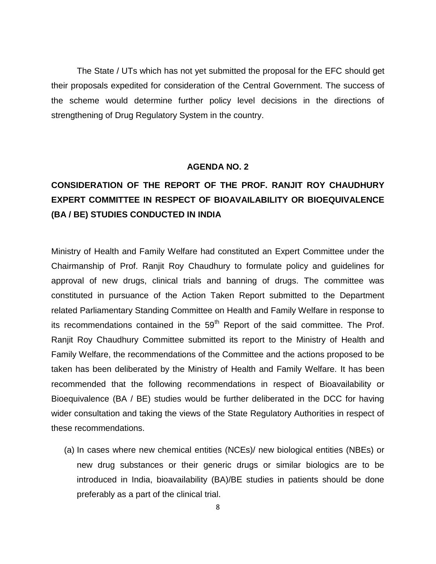The State / UTs which has not yet submitted the proposal for the EFC should get their proposals expedited for consideration of the Central Government. The success of the scheme would determine further policy level decisions in the directions of strengthening of Drug Regulatory System in the country.

#### **AGENDA NO. 2**

# **CONSIDERATION OF THE REPORT OF THE PROF. RANJIT ROY CHAUDHURY EXPERT COMMITTEE IN RESPECT OF BIOAVAILABILITY OR BIOEQUIVALENCE (BA / BE) STUDIES CONDUCTED IN INDIA**

Ministry of Health and Family Welfare had constituted an Expert Committee under the Chairmanship of Prof. Ranjit Roy Chaudhury to formulate policy and guidelines for approval of new drugs, clinical trials and banning of drugs. The committee was constituted in pursuance of the Action Taken Report submitted to the Department related Parliamentary Standing Committee on Health and Family Welfare in response to its recommendations contained in the  $59<sup>th</sup>$  Report of the said committee. The Prof. Ranjit Roy Chaudhury Committee submitted its report to the Ministry of Health and Family Welfare, the recommendations of the Committee and the actions proposed to be taken has been deliberated by the Ministry of Health and Family Welfare. It has been recommended that the following recommendations in respect of Bioavailability or Bioequivalence (BA / BE) studies would be further deliberated in the DCC for having wider consultation and taking the views of the State Regulatory Authorities in respect of these recommendations.

(a) In cases where new chemical entities (NCEs)/ new biological entities (NBEs) or new drug substances or their generic drugs or similar biologics are to be introduced in India, bioavailability (BA)/BE studies in patients should be done preferably as a part of the clinical trial.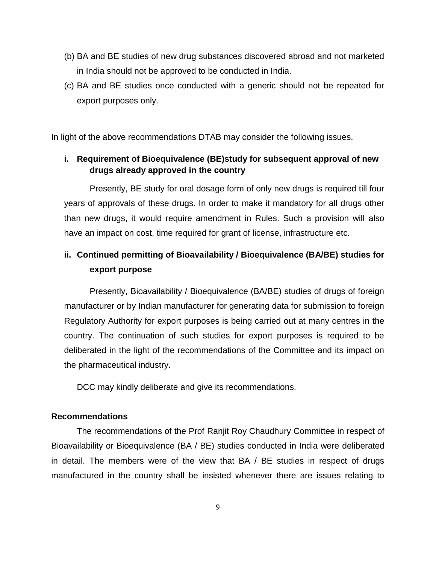- (b) BA and BE studies of new drug substances discovered abroad and not marketed in India should not be approved to be conducted in India.
- (c) BA and BE studies once conducted with a generic should not be repeated for export purposes only.

In light of the above recommendations DTAB may consider the following issues.

## **i. Requirement of Bioequivalence (BE)study for subsequent approval of new drugs already approved in the country**

Presently, BE study for oral dosage form of only new drugs is required till four years of approvals of these drugs. In order to make it mandatory for all drugs other than new drugs, it would require amendment in Rules. Such a provision will also have an impact on cost, time required for grant of license, infrastructure etc.

## **ii. Continued permitting of Bioavailability / Bioequivalence (BA/BE) studies for export purpose**

Presently, Bioavailability / Bioequivalence (BA/BE) studies of drugs of foreign manufacturer or by Indian manufacturer for generating data for submission to foreign Regulatory Authority for export purposes is being carried out at many centres in the country. The continuation of such studies for export purposes is required to be deliberated in the light of the recommendations of the Committee and its impact on the pharmaceutical industry.

DCC may kindly deliberate and give its recommendations.

### **Recommendations**

The recommendations of the Prof Ranjit Roy Chaudhury Committee in respect of Bioavailability or Bioequivalence (BA / BE) studies conducted in India were deliberated in detail. The members were of the view that BA / BE studies in respect of drugs manufactured in the country shall be insisted whenever there are issues relating to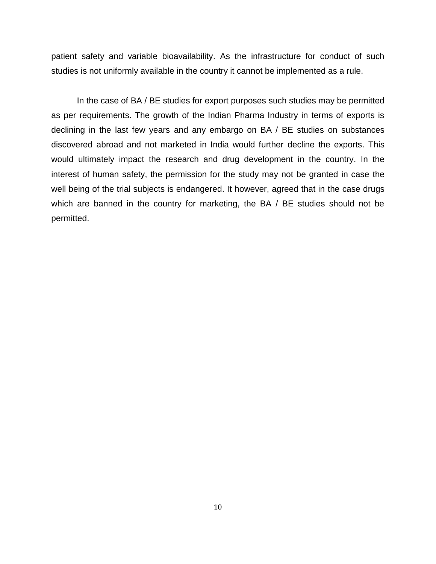patient safety and variable bioavailability. As the infrastructure for conduct of such studies is not uniformly available in the country it cannot be implemented as a rule.

In the case of BA / BE studies for export purposes such studies may be permitted as per requirements. The growth of the Indian Pharma Industry in terms of exports is declining in the last few years and any embargo on BA / BE studies on substances discovered abroad and not marketed in India would further decline the exports. This would ultimately impact the research and drug development in the country. In the interest of human safety, the permission for the study may not be granted in case the well being of the trial subjects is endangered. It however, agreed that in the case drugs which are banned in the country for marketing, the BA / BE studies should not be permitted.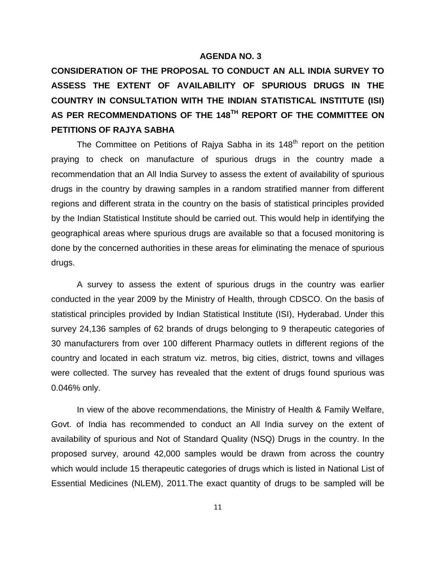**CONSIDERATION OF THE PROPOSAL TO CONDUCT AN ALL INDIA SURVEY TO ASSESS THE EXTENT OF AVAILABILITY OF SPURIOUS DRUGS IN THE COUNTRY IN CONSULTATION WITH THE INDIAN STATISTICAL INSTITUTE (ISI) AS PER RECOMMENDATIONS OF THE 148TH REPORT OF THE COMMITTEE ON PETITIONS OF RAJYA SABHA** 

The Committee on Petitions of Rajya Sabha in its  $148<sup>th</sup>$  report on the petition praying to check on manufacture of spurious drugs in the country made a recommendation that an All India Survey to assess the extent of availability of spurious drugs in the country by drawing samples in a random stratified manner from different regions and different strata in the country on the basis of statistical principles provided by the Indian Statistical Institute should be carried out. This would help in identifying the geographical areas where spurious drugs are available so that a focused monitoring is done by the concerned authorities in these areas for eliminating the menace of spurious drugs.

A survey to assess the extent of spurious drugs in the country was earlier conducted in the year 2009 by the Ministry of Health, through CDSCO. On the basis of statistical principles provided by Indian Statistical Institute (ISI), Hyderabad. Under this survey 24,136 samples of 62 brands of drugs belonging to 9 therapeutic categories of 30 manufacturers from over 100 different Pharmacy outlets in different regions of the country and located in each stratum viz. metros, big cities, district, towns and villages were collected. The survey has revealed that the extent of drugs found spurious was 0.046% only.

In view of the above recommendations, the Ministry of Health & Family Welfare, Govt. of India has recommended to conduct an All India survey on the extent of availability of spurious and Not of Standard Quality (NSQ) Drugs in the country. In the proposed survey, around 42,000 samples would be drawn from across the country which would include 15 therapeutic categories of drugs which is listed in National List of Essential Medicines (NLEM), 2011.The exact quantity of drugs to be sampled will be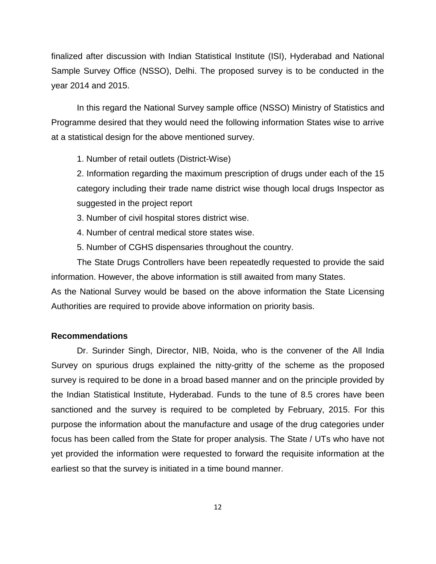finalized after discussion with Indian Statistical Institute (ISI), Hyderabad and National Sample Survey Office (NSSO), Delhi. The proposed survey is to be conducted in the year 2014 and 2015.

In this regard the National Survey sample office (NSSO) Ministry of Statistics and Programme desired that they would need the following information States wise to arrive at a statistical design for the above mentioned survey.

1. Number of retail outlets (District-Wise)

2. Information regarding the maximum prescription of drugs under each of the 15 category including their trade name district wise though local drugs Inspector as suggested in the project report

3. Number of civil hospital stores district wise.

4. Number of central medical store states wise.

5. Number of CGHS dispensaries throughout the country.

The State Drugs Controllers have been repeatedly requested to provide the said information. However, the above information is still awaited from many States.

As the National Survey would be based on the above information the State Licensing Authorities are required to provide above information on priority basis.

#### **Recommendations**

Dr. Surinder Singh, Director, NIB, Noida, who is the convener of the All India Survey on spurious drugs explained the nitty-gritty of the scheme as the proposed survey is required to be done in a broad based manner and on the principle provided by the Indian Statistical Institute, Hyderabad. Funds to the tune of 8.5 crores have been sanctioned and the survey is required to be completed by February, 2015. For this purpose the information about the manufacture and usage of the drug categories under focus has been called from the State for proper analysis. The State / UTs who have not yet provided the information were requested to forward the requisite information at the earliest so that the survey is initiated in a time bound manner.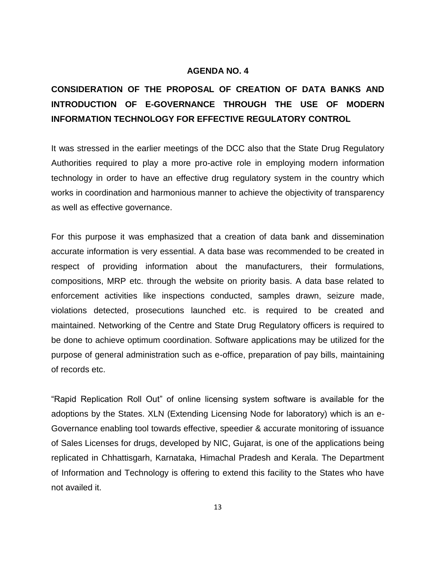# **CONSIDERATION OF THE PROPOSAL OF CREATION OF DATA BANKS AND INTRODUCTION OF E-GOVERNANCE THROUGH THE USE OF MODERN INFORMATION TECHNOLOGY FOR EFFECTIVE REGULATORY CONTROL**

It was stressed in the earlier meetings of the DCC also that the State Drug Regulatory Authorities required to play a more pro-active role in employing modern information technology in order to have an effective drug regulatory system in the country which works in coordination and harmonious manner to achieve the objectivity of transparency as well as effective governance.

For this purpose it was emphasized that a creation of data bank and dissemination accurate information is very essential. A data base was recommended to be created in respect of providing information about the manufacturers, their formulations, compositions, MRP etc. through the website on priority basis. A data base related to enforcement activities like inspections conducted, samples drawn, seizure made, violations detected, prosecutions launched etc. is required to be created and maintained. Networking of the Centre and State Drug Regulatory officers is required to be done to achieve optimum coordination. Software applications may be utilized for the purpose of general administration such as e-office, preparation of pay bills, maintaining of records etc.

"Rapid Replication Roll Out" of online licensing system software is available for the adoptions by the States. XLN (Extending Licensing Node for laboratory) which is an e-Governance enabling tool towards effective, speedier & accurate monitoring of issuance of Sales Licenses for drugs, developed by NIC, Gujarat, is one of the applications being replicated in Chhattisgarh, Karnataka, Himachal Pradesh and Kerala. The Department of Information and Technology is offering to extend this facility to the States who have not availed it.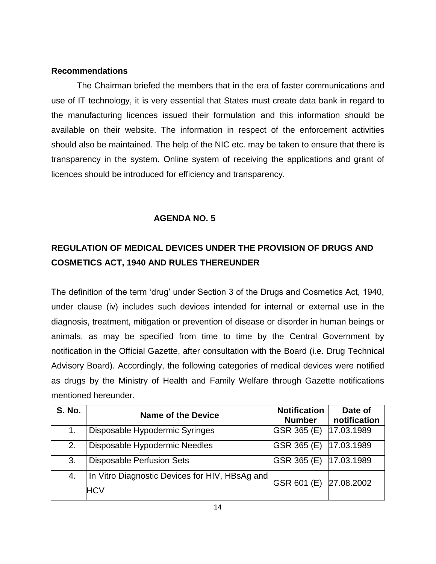### **Recommendations**

The Chairman briefed the members that in the era of faster communications and use of IT technology, it is very essential that States must create data bank in regard to the manufacturing licences issued their formulation and this information should be available on their website. The information in respect of the enforcement activities should also be maintained. The help of the NIC etc. may be taken to ensure that there is transparency in the system. Online system of receiving the applications and grant of licences should be introduced for efficiency and transparency.

## **AGENDA NO. 5**

## **REGULATION OF MEDICAL DEVICES UNDER THE PROVISION OF DRUGS AND COSMETICS ACT, 1940 AND RULES THEREUNDER**

The definition of the term "drug" under Section 3 of the Drugs and Cosmetics Act, 1940, under clause (iv) includes such devices intended for internal or external use in the diagnosis, treatment, mitigation or prevention of disease or disorder in human beings or animals, as may be specified from time to time by the Central Government by notification in the Official Gazette, after consultation with the Board (i.e. Drug Technical Advisory Board). Accordingly, the following categories of medical devices were notified as drugs by the Ministry of Health and Family Welfare through Gazette notifications mentioned hereunder.

| <b>S. No.</b> | <b>Name of the Device</b>                                    | <b>Notification</b><br><b>Number</b> | Date of<br>notification |
|---------------|--------------------------------------------------------------|--------------------------------------|-------------------------|
| 1.            | Disposable Hypodermic Syringes                               | GSR 365 (E) 17.03.1989               |                         |
| 2.            | Disposable Hypodermic Needles                                | GSR 365 (E)                          | 17.03.1989              |
| 3.            | <b>Disposable Perfusion Sets</b>                             | GSR 365 (E) 17.03.1989               |                         |
| 4.            | In Vitro Diagnostic Devices for HIV, HBsAg and<br><b>HCV</b> | GSR 601 (E) 27.08.2002               |                         |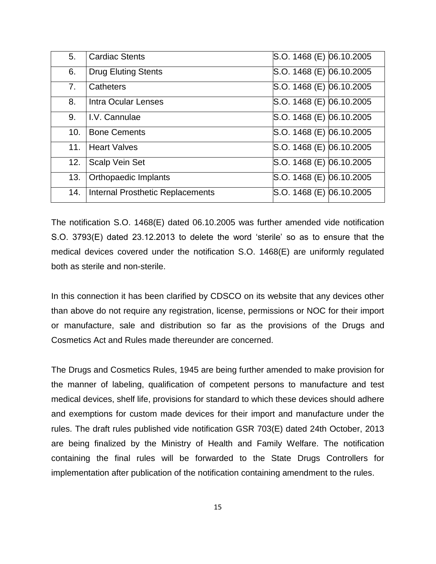| 5.  | <b>Cardiac Stents</b>            | S.O. 1468 (E) 06.10.2005 |  |
|-----|----------------------------------|--------------------------|--|
| 6.  | <b>Drug Eluting Stents</b>       | S.O. 1468 (E) 06.10.2005 |  |
| 7.  | Catheters                        | S.O. 1468 (E) 06.10.2005 |  |
| 8.  | <b>Intra Ocular Lenses</b>       | S.O. 1468 (E) 06.10.2005 |  |
| 9.  | I.V. Cannulae                    | S.O. 1468 (E) 06.10.2005 |  |
| 10. | <b>Bone Cements</b>              | S.O. 1468 (E) 06.10.2005 |  |
| 11. | <b>Heart Valves</b>              | S.O. 1468 (E) 06.10.2005 |  |
| 12. | Scalp Vein Set                   | S.O. 1468 (E) 06.10.2005 |  |
| 13. | Orthopaedic Implants             | S.O. 1468 (E) 06.10.2005 |  |
| 14. | Internal Prosthetic Replacements | S.O. 1468 (E) 06.10.2005 |  |

The notification S.O. 1468(E) dated 06.10.2005 was further amended vide notification S.O. 3793(E) dated 23.12.2013 to delete the word "sterile" so as to ensure that the medical devices covered under the notification S.O. 1468(E) are uniformly regulated both as sterile and non-sterile.

In this connection it has been clarified by CDSCO on its website that any devices other than above do not require any registration, license, permissions or NOC for their import or manufacture, sale and distribution so far as the provisions of the Drugs and Cosmetics Act and Rules made thereunder are concerned.

The Drugs and Cosmetics Rules, 1945 are being further amended to make provision for the manner of labeling, qualification of competent persons to manufacture and test medical devices, shelf life, provisions for standard to which these devices should adhere and exemptions for custom made devices for their import and manufacture under the rules. The draft rules published vide notification GSR 703(E) dated 24th October, 2013 are being finalized by the Ministry of Health and Family Welfare. The notification containing the final rules will be forwarded to the State Drugs Controllers for implementation after publication of the notification containing amendment to the rules.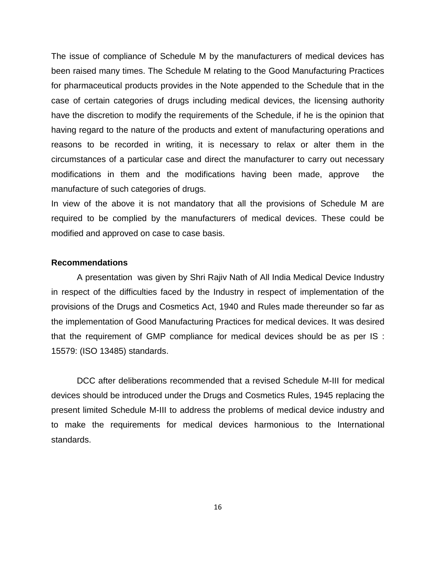The issue of compliance of Schedule M by the manufacturers of medical devices has been raised many times. The Schedule M relating to the Good Manufacturing Practices for pharmaceutical products provides in the Note appended to the Schedule that in the case of certain categories of drugs including medical devices, the licensing authority have the discretion to modify the requirements of the Schedule, if he is the opinion that having regard to the nature of the products and extent of manufacturing operations and reasons to be recorded in writing, it is necessary to relax or alter them in the circumstances of a particular case and direct the manufacturer to carry out necessary modifications in them and the modifications having been made, approve the manufacture of such categories of drugs.

In view of the above it is not mandatory that all the provisions of Schedule M are required to be complied by the manufacturers of medical devices. These could be modified and approved on case to case basis.

#### **Recommendations**

A presentation was given by Shri Rajiv Nath of All India Medical Device Industry in respect of the difficulties faced by the Industry in respect of implementation of the provisions of the Drugs and Cosmetics Act, 1940 and Rules made thereunder so far as the implementation of Good Manufacturing Practices for medical devices. It was desired that the requirement of GMP compliance for medical devices should be as per IS : 15579: (ISO 13485) standards.

DCC after deliberations recommended that a revised Schedule M-III for medical devices should be introduced under the Drugs and Cosmetics Rules, 1945 replacing the present limited Schedule M-III to address the problems of medical device industry and to make the requirements for medical devices harmonious to the International standards.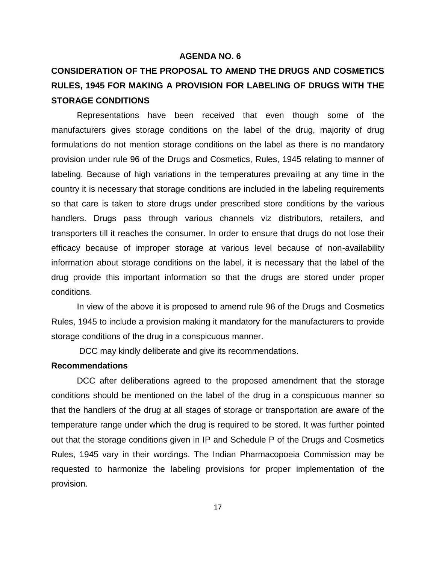# **CONSIDERATION OF THE PROPOSAL TO AMEND THE DRUGS AND COSMETICS RULES, 1945 FOR MAKING A PROVISION FOR LABELING OF DRUGS WITH THE STORAGE CONDITIONS**

Representations have been received that even though some of the manufacturers gives storage conditions on the label of the drug, majority of drug formulations do not mention storage conditions on the label as there is no mandatory provision under rule 96 of the Drugs and Cosmetics, Rules, 1945 relating to manner of labeling. Because of high variations in the temperatures prevailing at any time in the country it is necessary that storage conditions are included in the labeling requirements so that care is taken to store drugs under prescribed store conditions by the various handlers. Drugs pass through various channels viz distributors, retailers, and transporters till it reaches the consumer. In order to ensure that drugs do not lose their efficacy because of improper storage at various level because of non-availability information about storage conditions on the label, it is necessary that the label of the drug provide this important information so that the drugs are stored under proper conditions.

In view of the above it is proposed to amend rule 96 of the Drugs and Cosmetics Rules, 1945 to include a provision making it mandatory for the manufacturers to provide storage conditions of the drug in a conspicuous manner.

DCC may kindly deliberate and give its recommendations.

### **Recommendations**

DCC after deliberations agreed to the proposed amendment that the storage conditions should be mentioned on the label of the drug in a conspicuous manner so that the handlers of the drug at all stages of storage or transportation are aware of the temperature range under which the drug is required to be stored. It was further pointed out that the storage conditions given in IP and Schedule P of the Drugs and Cosmetics Rules, 1945 vary in their wordings. The Indian Pharmacopoeia Commission may be requested to harmonize the labeling provisions for proper implementation of the provision.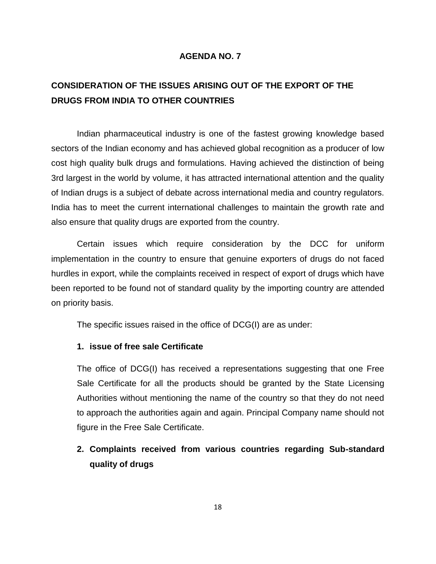## **CONSIDERATION OF THE ISSUES ARISING OUT OF THE EXPORT OF THE DRUGS FROM INDIA TO OTHER COUNTRIES**

Indian pharmaceutical industry is one of the fastest growing knowledge based sectors of the Indian economy and has achieved global recognition as a producer of low cost high quality bulk drugs and formulations. Having achieved the distinction of being 3rd largest in the world by volume, it has attracted international attention and the quality of Indian drugs is a subject of debate across international media and country regulators. India has to meet the current international challenges to maintain the growth rate and also ensure that quality drugs are exported from the country.

Certain issues which require consideration by the DCC for uniform implementation in the country to ensure that genuine exporters of drugs do not faced hurdles in export, while the complaints received in respect of export of drugs which have been reported to be found not of standard quality by the importing country are attended on priority basis.

The specific issues raised in the office of DCG(I) are as under:

#### **1. issue of free sale Certificate**

The office of DCG(I) has received a representations suggesting that one Free Sale Certificate for all the products should be granted by the State Licensing Authorities without mentioning the name of the country so that they do not need to approach the authorities again and again. Principal Company name should not figure in the Free Sale Certificate.

## **2. Complaints received from various countries regarding Sub-standard quality of drugs**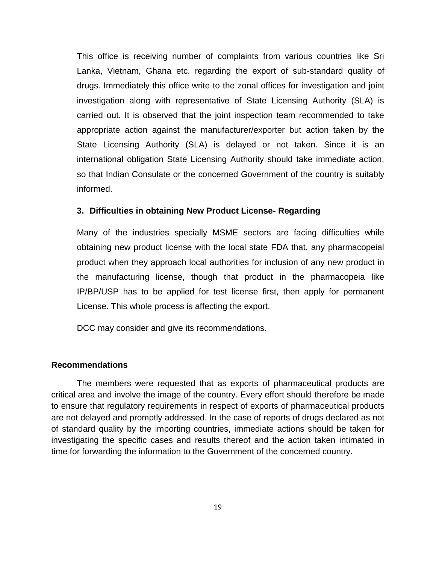This office is receiving number of complaints from various countries like Sri Lanka, Vietnam, Ghana etc. regarding the export of sub-standard quality of drugs. Immediately this office write to the zonal offices for investigation and joint investigation along with representative of State Licensing Authority (SLA) is carried out. It is observed that the joint inspection team recommended to take appropriate action against the manufacturer/exporter but action taken by the State Licensing Authority (SLA) is delayed or not taken. Since it is an international obligation State Licensing Authority should take immediate action, so that Indian Consulate or the concerned Government of the country is suitably informed.

#### **3. Difficulties in obtaining New Product License- Regarding**

Many of the industries specially MSME sectors are facing difficulties while obtaining new product license with the local state FDA that, any pharmacopeial product when they approach local authorities for inclusion of any new product in the manufacturing license, though that product in the pharmacopeia like IP/BP/USP has to be applied for test license first, then apply for permanent License. This whole process is affecting the export.

DCC may consider and give its recommendations.

#### **Recommendations**

The members were requested that as exports of pharmaceutical products are critical area and involve the image of the country. Every effort should therefore be made to ensure that regulatory requirements in respect of exports of pharmaceutical products are not delayed and promptly addressed. In the case of reports of drugs declared as not of standard quality by the importing countries, immediate actions should be taken for investigating the specific cases and results thereof and the action taken intimated in time for forwarding the information to the Government of the concerned country.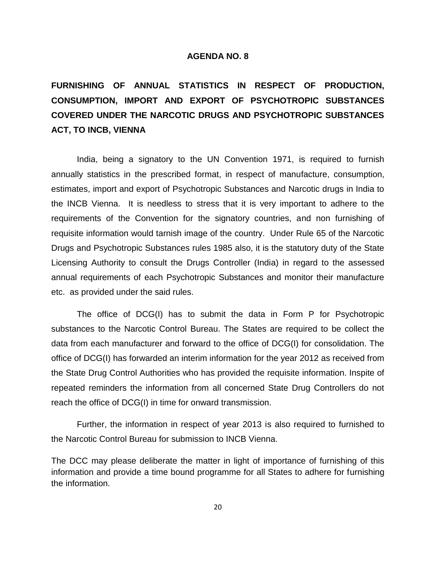**FURNISHING OF ANNUAL STATISTICS IN RESPECT OF PRODUCTION, CONSUMPTION, IMPORT AND EXPORT OF PSYCHOTROPIC SUBSTANCES COVERED UNDER THE NARCOTIC DRUGS AND PSYCHOTROPIC SUBSTANCES ACT, TO INCB, VIENNA**

India, being a signatory to the UN Convention 1971, is required to furnish annually statistics in the prescribed format, in respect of manufacture, consumption, estimates, import and export of Psychotropic Substances and Narcotic drugs in India to the INCB Vienna. It is needless to stress that it is very important to adhere to the requirements of the Convention for the signatory countries, and non furnishing of requisite information would tarnish image of the country. Under Rule 65 of the Narcotic Drugs and Psychotropic Substances rules 1985 also, it is the statutory duty of the State Licensing Authority to consult the Drugs Controller (India) in regard to the assessed annual requirements of each Psychotropic Substances and monitor their manufacture etc. as provided under the said rules.

The office of DCG(I) has to submit the data in Form P for Psychotropic substances to the Narcotic Control Bureau. The States are required to be collect the data from each manufacturer and forward to the office of DCG(I) for consolidation. The office of DCG(I) has forwarded an interim information for the year 2012 as received from the State Drug Control Authorities who has provided the requisite information. Inspite of repeated reminders the information from all concerned State Drug Controllers do not reach the office of DCG(I) in time for onward transmission.

Further, the information in respect of year 2013 is also required to furnished to the Narcotic Control Bureau for submission to INCB Vienna.

The DCC may please deliberate the matter in light of importance of furnishing of this information and provide a time bound programme for all States to adhere for furnishing the information.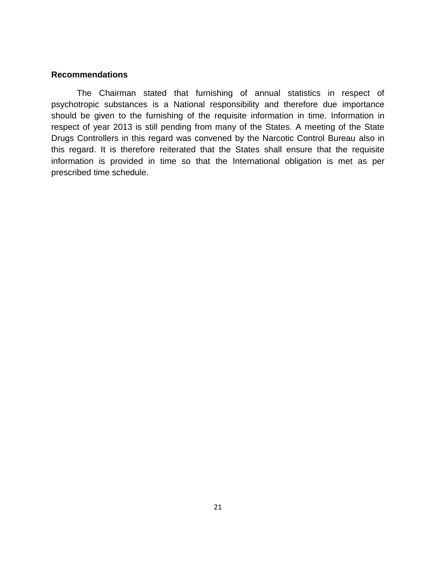#### **Recommendations**

The Chairman stated that furnishing of annual statistics in respect of psychotropic substances is a National responsibility and therefore due importance should be given to the furnishing of the requisite information in time. Information in respect of year 2013 is still pending from many of the States. A meeting of the State Drugs Controllers in this regard was convened by the Narcotic Control Bureau also in this regard. It is therefore reiterated that the States shall ensure that the requisite information is provided in time so that the International obligation is met as per prescribed time schedule.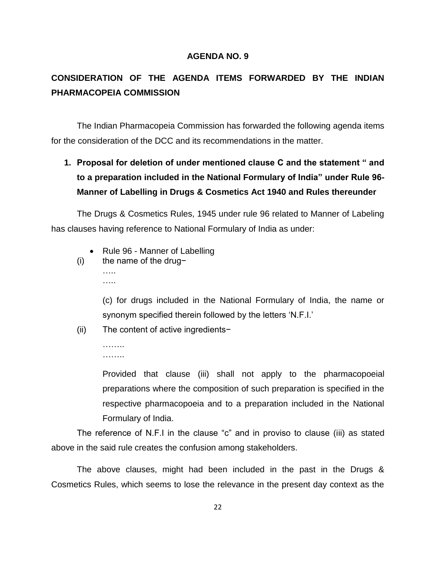## **CONSIDERATION OF THE AGENDA ITEMS FORWARDED BY THE INDIAN PHARMACOPEIA COMMISSION**

The Indian Pharmacopeia Commission has forwarded the following agenda items for the consideration of the DCC and its recommendations in the matter.

**1. Proposal for deletion of under mentioned clause C and the statement " and to a preparation included in the National Formulary of India" under Rule 96- Manner of Labelling in Drugs & Cosmetics Act 1940 and Rules thereunder**

The Drugs & Cosmetics Rules, 1945 under rule 96 related to Manner of Labeling has clauses having reference to National Formulary of India as under:

- Rule 96 Manner of Labelling
- (i) the name of the drug− ….. …..

(c) for drugs included in the National Formulary of India, the name or synonym specified therein followed by the letters 'N.F.I.'

(ii) The content of active ingredients−

. . . . . . . . ……..

Provided that clause (iii) shall not apply to the pharmacopoeial preparations where the composition of such preparation is specified in the respective pharmacopoeia and to a preparation included in the National Formulary of India.

The reference of N.F.I in the clause "c" and in proviso to clause (iii) as stated above in the said rule creates the confusion among stakeholders.

The above clauses, might had been included in the past in the Drugs & Cosmetics Rules, which seems to lose the relevance in the present day context as the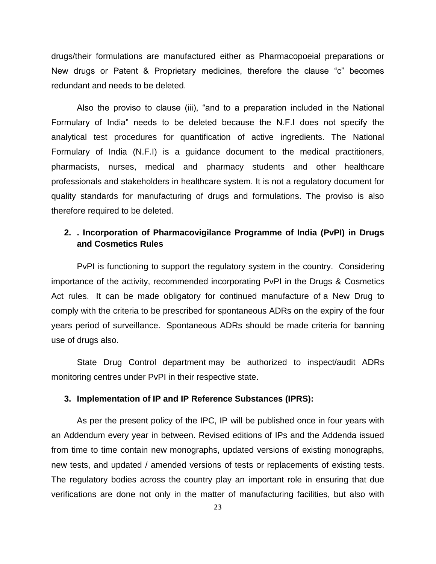drugs/their formulations are manufactured either as Pharmacopoeial preparations or New drugs or Patent & Proprietary medicines, therefore the clause "c" becomes redundant and needs to be deleted.

Also the proviso to clause (iii), "and to a preparation included in the National Formulary of India" needs to be deleted because the N.F.I does not specify the analytical test procedures for quantification of active ingredients. The National Formulary of India (N.F.I) is a guidance document to the medical practitioners, pharmacists, nurses, medical and pharmacy students and other healthcare professionals and stakeholders in healthcare system. It is not a regulatory document for quality standards for manufacturing of drugs and formulations. The proviso is also therefore required to be deleted.

## **2. . Incorporation of Pharmacovigilance Programme of India (PvPI) in Drugs and Cosmetics Rules**

PvPI is functioning to support the regulatory system in the country. Considering importance of the activity, recommended incorporating PvPI in the Drugs & Cosmetics Act rules. It can be made obligatory for continued manufacture of a New Drug to comply with the criteria to be prescribed for spontaneous ADRs on the expiry of the four years period of surveillance. Spontaneous ADRs should be made criteria for banning use of drugs also.

State Drug Control department may be authorized to inspect/audit ADRs monitoring centres under PvPI in their respective state.

#### **3. Implementation of IP and IP Reference Substances (IPRS):**

As per the present policy of the IPC, IP will be published once in four years with an Addendum every year in between. Revised editions of IPs and the Addenda issued from time to time contain new monographs, updated versions of existing monographs, new tests, and updated / amended versions of tests or replacements of existing tests. The regulatory bodies across the country play an important role in ensuring that due verifications are done not only in the matter of manufacturing facilities, but also with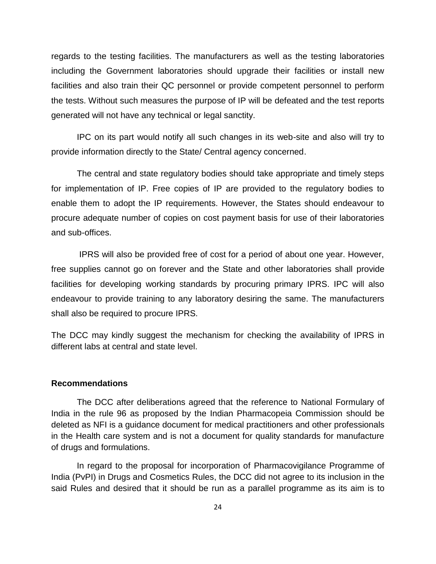regards to the testing facilities. The manufacturers as well as the testing laboratories including the Government laboratories should upgrade their facilities or install new facilities and also train their QC personnel or provide competent personnel to perform the tests. Without such measures the purpose of IP will be defeated and the test reports generated will not have any technical or legal sanctity.

IPC on its part would notify all such changes in its web-site and also will try to provide information directly to the State/ Central agency concerned.

The central and state regulatory bodies should take appropriate and timely steps for implementation of IP. Free copies of IP are provided to the regulatory bodies to enable them to adopt the IP requirements. However, the States should endeavour to procure adequate number of copies on cost payment basis for use of their laboratories and sub-offices.

IPRS will also be provided free of cost for a period of about one year. However, free supplies cannot go on forever and the State and other laboratories shall provide facilities for developing working standards by procuring primary IPRS. IPC will also endeavour to provide training to any laboratory desiring the same. The manufacturers shall also be required to procure IPRS.

The DCC may kindly suggest the mechanism for checking the availability of IPRS in different labs at central and state level.

#### **Recommendations**

The DCC after deliberations agreed that the reference to National Formulary of India in the rule 96 as proposed by the Indian Pharmacopeia Commission should be deleted as NFI is a guidance document for medical practitioners and other professionals in the Health care system and is not a document for quality standards for manufacture of drugs and formulations.

In regard to the proposal for incorporation of Pharmacovigilance Programme of India (PvPI) in Drugs and Cosmetics Rules, the DCC did not agree to its inclusion in the said Rules and desired that it should be run as a parallel programme as its aim is to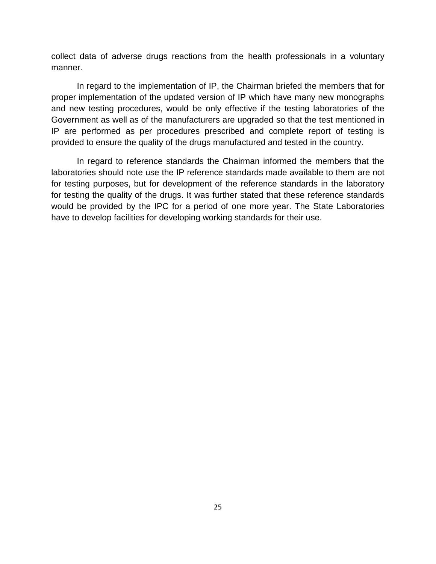collect data of adverse drugs reactions from the health professionals in a voluntary manner.

In regard to the implementation of IP, the Chairman briefed the members that for proper implementation of the updated version of IP which have many new monographs and new testing procedures, would be only effective if the testing laboratories of the Government as well as of the manufacturers are upgraded so that the test mentioned in IP are performed as per procedures prescribed and complete report of testing is provided to ensure the quality of the drugs manufactured and tested in the country.

In regard to reference standards the Chairman informed the members that the laboratories should note use the IP reference standards made available to them are not for testing purposes, but for development of the reference standards in the laboratory for testing the quality of the drugs. It was further stated that these reference standards would be provided by the IPC for a period of one more year. The State Laboratories have to develop facilities for developing working standards for their use.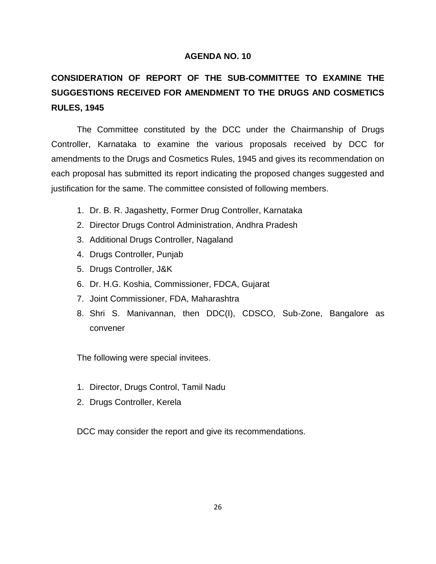# **CONSIDERATION OF REPORT OF THE SUB-COMMITTEE TO EXAMINE THE SUGGESTIONS RECEIVED FOR AMENDMENT TO THE DRUGS AND COSMETICS RULES, 1945**

The Committee constituted by the DCC under the Chairmanship of Drugs Controller, Karnataka to examine the various proposals received by DCC for amendments to the Drugs and Cosmetics Rules, 1945 and gives its recommendation on each proposal has submitted its report indicating the proposed changes suggested and justification for the same. The committee consisted of following members.

- 1. Dr. B. R. Jagashetty, Former Drug Controller, Karnataka
- 2. Director Drugs Control Administration, Andhra Pradesh
- 3. Additional Drugs Controller, Nagaland
- 4. Drugs Controller, Punjab
- 5. Drugs Controller, J&K
- 6. Dr. H.G. Koshia, Commissioner, FDCA, Gujarat
- 7. Joint Commissioner, FDA, Maharashtra
- 8. Shri S. Manivannan, then DDC(I), CDSCO, Sub-Zone, Bangalore as convener

The following were special invitees.

- 1. Director, Drugs Control, Tamil Nadu
- 2. Drugs Controller, Kerela

DCC may consider the report and give its recommendations.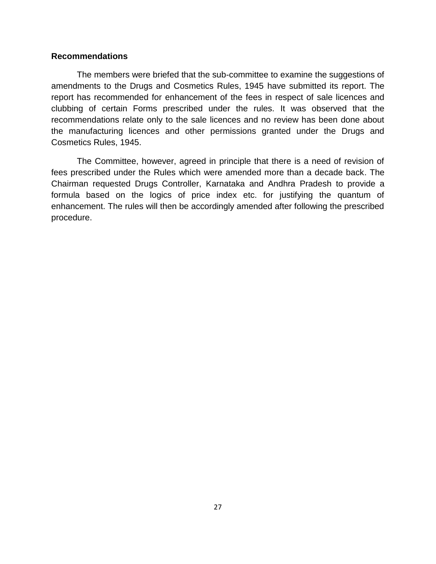#### **Recommendations**

The members were briefed that the sub-committee to examine the suggestions of amendments to the Drugs and Cosmetics Rules, 1945 have submitted its report. The report has recommended for enhancement of the fees in respect of sale licences and clubbing of certain Forms prescribed under the rules. It was observed that the recommendations relate only to the sale licences and no review has been done about the manufacturing licences and other permissions granted under the Drugs and Cosmetics Rules, 1945.

The Committee, however, agreed in principle that there is a need of revision of fees prescribed under the Rules which were amended more than a decade back. The Chairman requested Drugs Controller, Karnataka and Andhra Pradesh to provide a formula based on the logics of price index etc. for justifying the quantum of enhancement. The rules will then be accordingly amended after following the prescribed procedure.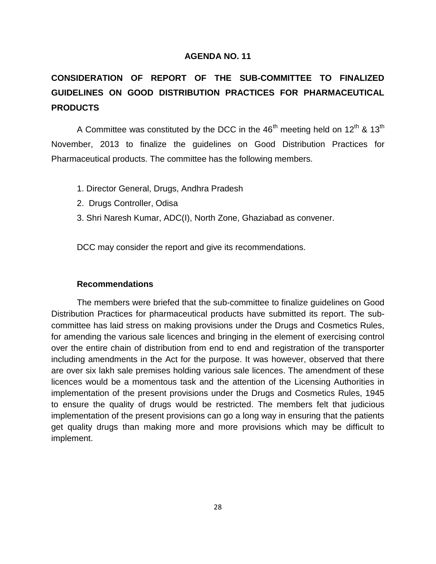# **CONSIDERATION OF REPORT OF THE SUB-COMMITTEE TO FINALIZED GUIDELINES ON GOOD DISTRIBUTION PRACTICES FOR PHARMACEUTICAL PRODUCTS**

A Committee was constituted by the DCC in the  $46<sup>th</sup>$  meeting held on  $12<sup>th</sup>$  &  $13<sup>th</sup>$ November, 2013 to finalize the guidelines on Good Distribution Practices for Pharmaceutical products. The committee has the following members.

- 1. Director General, Drugs, Andhra Pradesh
- 2. Drugs Controller, Odisa
- 3. Shri Naresh Kumar, ADC(I), North Zone, Ghaziabad as convener.

DCC may consider the report and give its recommendations.

#### **Recommendations**

The members were briefed that the sub-committee to finalize guidelines on Good Distribution Practices for pharmaceutical products have submitted its report. The subcommittee has laid stress on making provisions under the Drugs and Cosmetics Rules, for amending the various sale licences and bringing in the element of exercising control over the entire chain of distribution from end to end and registration of the transporter including amendments in the Act for the purpose. It was however, observed that there are over six lakh sale premises holding various sale licences. The amendment of these licences would be a momentous task and the attention of the Licensing Authorities in implementation of the present provisions under the Drugs and Cosmetics Rules, 1945 to ensure the quality of drugs would be restricted. The members felt that judicious implementation of the present provisions can go a long way in ensuring that the patients get quality drugs than making more and more provisions which may be difficult to implement.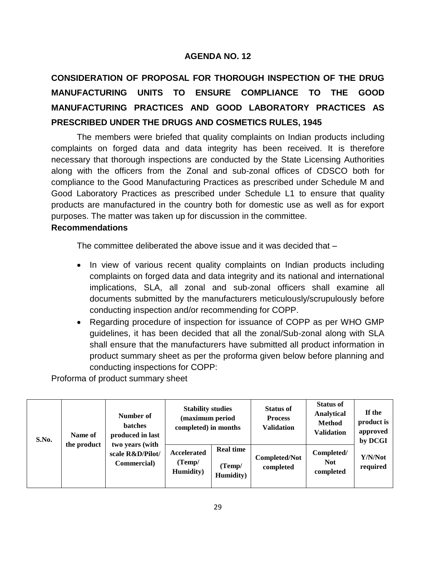# **CONSIDERATION OF PROPOSAL FOR THOROUGH INSPECTION OF THE DRUG MANUFACTURING UNITS TO ENSURE COMPLIANCE TO THE GOOD MANUFACTURING PRACTICES AND GOOD LABORATORY PRACTICES AS PRESCRIBED UNDER THE DRUGS AND COSMETICS RULES, 1945**

The members were briefed that quality complaints on Indian products including complaints on forged data and data integrity has been received. It is therefore necessary that thorough inspections are conducted by the State Licensing Authorities along with the officers from the Zonal and sub-zonal offices of CDSCO both for compliance to the Good Manufacturing Practices as prescribed under Schedule M and Good Laboratory Practices as prescribed under Schedule L1 to ensure that quality products are manufactured in the country both for domestic use as well as for export purposes. The matter was taken up for discussion in the committee.

## **Recommendations**

The committee deliberated the above issue and it was decided that –

- In view of various recent quality complaints on Indian products including complaints on forged data and data integrity and its national and international implications, SLA, all zonal and sub-zonal officers shall examine all documents submitted by the manufacturers meticulously/scrupulously before conducting inspection and/or recommending for COPP.
- Regarding procedure of inspection for issuance of COPP as per WHO GMP guidelines, it has been decided that all the zonal/Sub-zonal along with SLA shall ensure that the manufacturers have submitted all product information in product summary sheet as per the proforma given below before planning and conducting inspections for COPP:

Proforma of product summary sheet

| S.No. | Name of<br>the product | Number of<br><b>batches</b><br>produced in last<br>two years (with<br>scale R&D/Pilot/<br>Commercial) | <b>Stability studies</b><br>(maximum period<br>completed) in months |                                         | <b>Status of</b><br><b>Process</b><br><b>Validation</b> | <b>Status of</b><br>Analytical<br><b>Method</b><br><b>Validation</b> | If the<br>product is<br>approved<br>by DCGI |
|-------|------------------------|-------------------------------------------------------------------------------------------------------|---------------------------------------------------------------------|-----------------------------------------|---------------------------------------------------------|----------------------------------------------------------------------|---------------------------------------------|
|       |                        |                                                                                                       | Accelerated<br>(Temp/<br>Humidity)                                  | <b>Real time</b><br>(Temp/<br>Humidity) | <b>Completed/Not</b><br>completed                       | Completed/<br><b>Not</b><br>completed                                | Y/N/Not<br>required                         |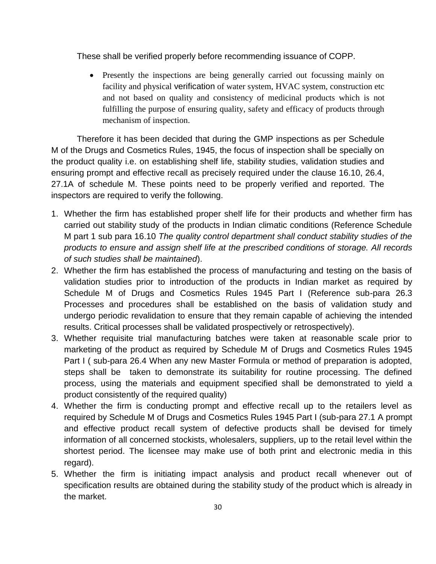These shall be verified properly before recommending issuance of COPP.

• Presently the inspections are being generally carried out focussing mainly on facility and physical verification of water system, HVAC system, construction etc and not based on quality and consistency of medicinal products which is not fulfilling the purpose of ensuring quality, safety and efficacy of products through mechanism of inspection.

Therefore it has been decided that during the GMP inspections as per Schedule M of the Drugs and Cosmetics Rules, 1945, the focus of inspection shall be specially on the product quality i.e. on establishing shelf life, stability studies, validation studies and ensuring prompt and effective recall as precisely required under the clause 16.10, 26.4, 27.1A of schedule M. These points need to be properly verified and reported. The inspectors are required to verify the following.

- 1. Whether the firm has established proper shelf life for their products and whether firm has carried out stability study of the products in Indian climatic conditions (Reference Schedule M part 1 sub para 16.10 *The quality control department shall conduct stability studies of the products to ensure and assign shelf life at the prescribed conditions of storage. All records of such studies shall be maintained*).
- 2. Whether the firm has established the process of manufacturing and testing on the basis of validation studies prior to introduction of the products in Indian market as required by Schedule M of Drugs and Cosmetics Rules 1945 Part I (Reference sub-para 26.3 Processes and procedures shall be established on the basis of validation study and undergo periodic revalidation to ensure that they remain capable of achieving the intended results. Critical processes shall be validated prospectively or retrospectively).
- 3. Whether requisite trial manufacturing batches were taken at reasonable scale prior to marketing of the product as required by Schedule M of Drugs and Cosmetics Rules 1945 Part I ( sub-para 26.4 When any new Master Formula or method of preparation is adopted, steps shall be taken to demonstrate its suitability for routine processing. The defined process, using the materials and equipment specified shall be demonstrated to yield a product consistently of the required quality)
- 4. Whether the firm is conducting prompt and effective recall up to the retailers level as required by Schedule M of Drugs and Cosmetics Rules 1945 Part I (sub-para 27.1 A prompt and effective product recall system of defective products shall be devised for timely information of all concerned stockists, wholesalers, suppliers, up to the retail level within the shortest period. The licensee may make use of both print and electronic media in this regard).
- 5. Whether the firm is initiating impact analysis and product recall whenever out of specification results are obtained during the stability study of the product which is already in the market.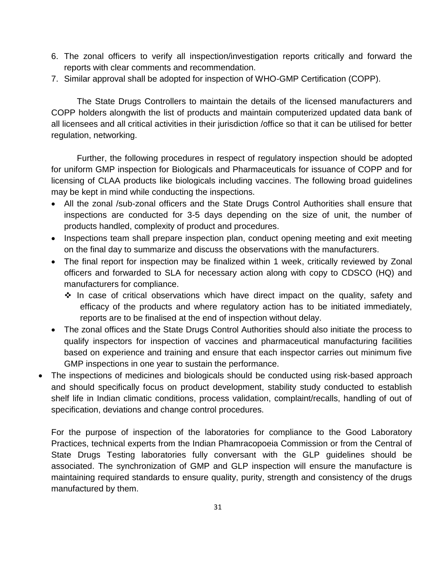- 6. The zonal officers to verify all inspection/investigation reports critically and forward the reports with clear comments and recommendation.
- 7. Similar approval shall be adopted for inspection of WHO-GMP Certification (COPP).

The State Drugs Controllers to maintain the details of the licensed manufacturers and COPP holders alongwith the list of products and maintain computerized updated data bank of all licensees and all critical activities in their jurisdiction /office so that it can be utilised for better regulation, networking.

Further, the following procedures in respect of regulatory inspection should be adopted for uniform GMP inspection for Biologicals and Pharmaceuticals for issuance of COPP and for licensing of CLAA products like biologicals including vaccines. The following broad guidelines may be kept in mind while conducting the inspections.

- All the zonal /sub-zonal officers and the State Drugs Control Authorities shall ensure that inspections are conducted for 3-5 days depending on the size of unit, the number of products handled, complexity of product and procedures.
- Inspections team shall prepare inspection plan, conduct opening meeting and exit meeting on the final day to summarize and discuss the observations with the manufacturers.
- The final report for inspection may be finalized within 1 week, critically reviewed by Zonal officers and forwarded to SLA for necessary action along with copy to CDSCO (HQ) and manufacturers for compliance.
	- $\cdot$  In case of critical observations which have direct impact on the quality, safety and efficacy of the products and where regulatory action has to be initiated immediately, reports are to be finalised at the end of inspection without delay.
- The zonal offices and the State Drugs Control Authorities should also initiate the process to qualify inspectors for inspection of vaccines and pharmaceutical manufacturing facilities based on experience and training and ensure that each inspector carries out minimum five GMP inspections in one year to sustain the performance.
- The inspections of medicines and biologicals should be conducted using risk-based approach and should specifically focus on product development, stability study conducted to establish shelf life in Indian climatic conditions, process validation, complaint/recalls, handling of out of specification, deviations and change control procedures.

For the purpose of inspection of the laboratories for compliance to the Good Laboratory Practices, technical experts from the Indian Phamracopoeia Commission or from the Central of State Drugs Testing laboratories fully conversant with the GLP guidelines should be associated. The synchronization of GMP and GLP inspection will ensure the manufacture is maintaining required standards to ensure quality, purity, strength and consistency of the drugs manufactured by them.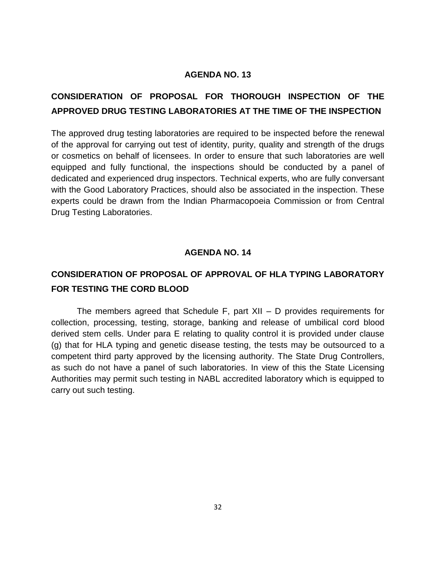## **CONSIDERATION OF PROPOSAL FOR THOROUGH INSPECTION OF THE APPROVED DRUG TESTING LABORATORIES AT THE TIME OF THE INSPECTION**

The approved drug testing laboratories are required to be inspected before the renewal of the approval for carrying out test of identity, purity, quality and strength of the drugs or cosmetics on behalf of licensees. In order to ensure that such laboratories are well equipped and fully functional, the inspections should be conducted by a panel of dedicated and experienced drug inspectors. Technical experts, who are fully conversant with the Good Laboratory Practices, should also be associated in the inspection. These experts could be drawn from the Indian Pharmacopoeia Commission or from Central Drug Testing Laboratories.

## **AGENDA NO. 14**

## **CONSIDERATION OF PROPOSAL OF APPROVAL OF HLA TYPING LABORATORY FOR TESTING THE CORD BLOOD**

The members agreed that Schedule F, part XII – D provides requirements for collection, processing, testing, storage, banking and release of umbilical cord blood derived stem cells. Under para E relating to quality control it is provided under clause (g) that for HLA typing and genetic disease testing, the tests may be outsourced to a competent third party approved by the licensing authority. The State Drug Controllers, as such do not have a panel of such laboratories. In view of this the State Licensing Authorities may permit such testing in NABL accredited laboratory which is equipped to carry out such testing.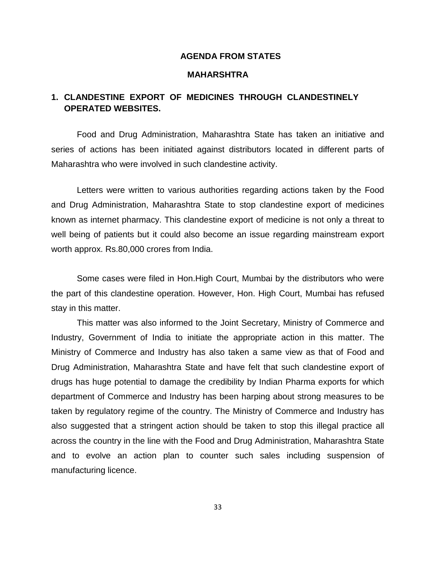#### **AGENDA FROM STATES**

#### **MAHARSHTRA**

## **1. CLANDESTINE EXPORT OF MEDICINES THROUGH CLANDESTINELY OPERATED WEBSITES.**

Food and Drug Administration, Maharashtra State has taken an initiative and series of actions has been initiated against distributors located in different parts of Maharashtra who were involved in such clandestine activity.

Letters were written to various authorities regarding actions taken by the Food and Drug Administration, Maharashtra State to stop clandestine export of medicines known as internet pharmacy. This clandestine export of medicine is not only a threat to well being of patients but it could also become an issue regarding mainstream export worth approx. Rs.80,000 crores from India.

Some cases were filed in Hon.High Court, Mumbai by the distributors who were the part of this clandestine operation. However, Hon. High Court, Mumbai has refused stay in this matter.

This matter was also informed to the Joint Secretary, Ministry of Commerce and Industry, Government of India to initiate the appropriate action in this matter. The Ministry of Commerce and Industry has also taken a same view as that of Food and Drug Administration, Maharashtra State and have felt that such clandestine export of drugs has huge potential to damage the credibility by Indian Pharma exports for which department of Commerce and Industry has been harping about strong measures to be taken by regulatory regime of the country. The Ministry of Commerce and Industry has also suggested that a stringent action should be taken to stop this illegal practice all across the country in the line with the Food and Drug Administration, Maharashtra State and to evolve an action plan to counter such sales including suspension of manufacturing licence.

33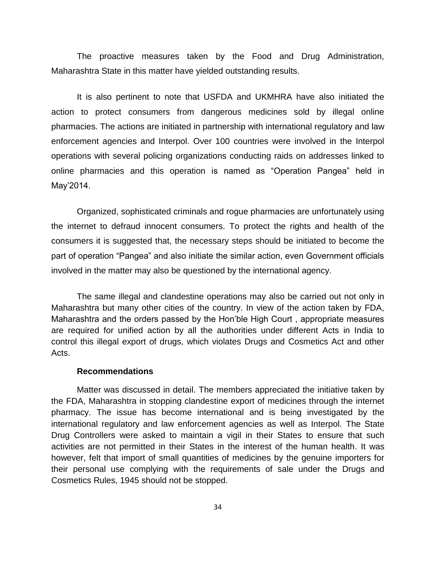The proactive measures taken by the Food and Drug Administration, Maharashtra State in this matter have yielded outstanding results.

It is also pertinent to note that USFDA and UKMHRA have also initiated the action to protect consumers from dangerous medicines sold by illegal online pharmacies. The actions are initiated in partnership with international regulatory and law enforcement agencies and Interpol. Over 100 countries were involved in the Interpol operations with several policing organizations conducting raids on addresses linked to online pharmacies and this operation is named as "Operation Pangea" held in May"2014.

Organized, sophisticated criminals and rogue pharmacies are unfortunately using the internet to defraud innocent consumers. To protect the rights and health of the consumers it is suggested that, the necessary steps should be initiated to become the part of operation "Pangea" and also initiate the similar action, even Government officials involved in the matter may also be questioned by the international agency.

The same illegal and clandestine operations may also be carried out not only in Maharashtra but many other cities of the country. In view of the action taken by FDA, Maharashtra and the orders passed by the Hon"ble High Court , appropriate measures are required for unified action by all the authorities under different Acts in India to control this illegal export of drugs, which violates Drugs and Cosmetics Act and other Acts.

#### **Recommendations**

Matter was discussed in detail. The members appreciated the initiative taken by the FDA, Maharashtra in stopping clandestine export of medicines through the internet pharmacy. The issue has become international and is being investigated by the international regulatory and law enforcement agencies as well as Interpol. The State Drug Controllers were asked to maintain a vigil in their States to ensure that such activities are not permitted in their States in the interest of the human health. It was however, felt that import of small quantities of medicines by the genuine importers for their personal use complying with the requirements of sale under the Drugs and Cosmetics Rules, 1945 should not be stopped.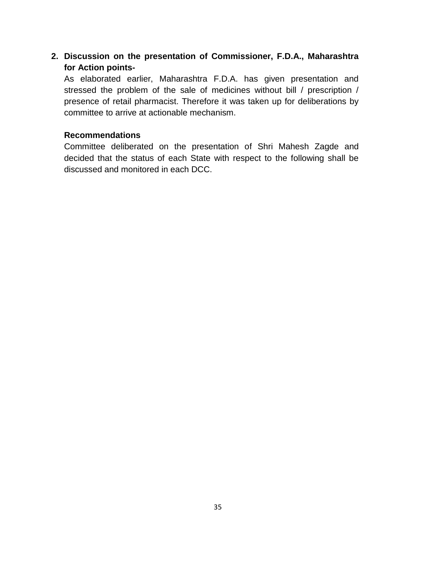## **2. Discussion on the presentation of Commissioner, F.D.A., Maharashtra for Action points-**

As elaborated earlier, Maharashtra F.D.A. has given presentation and stressed the problem of the sale of medicines without bill / prescription / presence of retail pharmacist. Therefore it was taken up for deliberations by committee to arrive at actionable mechanism.

## **Recommendations**

Committee deliberated on the presentation of Shri Mahesh Zagde and decided that the status of each State with respect to the following shall be discussed and monitored in each DCC.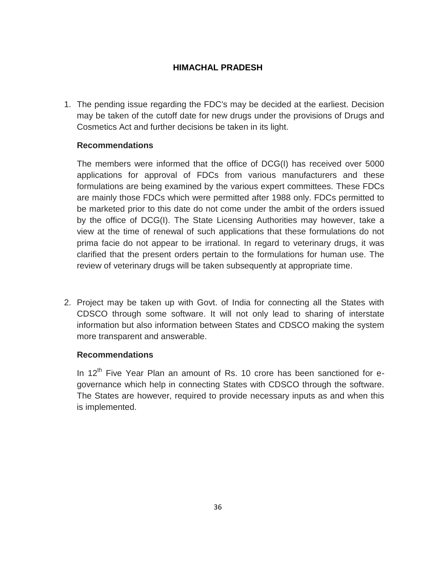## **HIMACHAL PRADESH**

1. The pending issue regarding the FDC's may be decided at the earliest. Decision may be taken of the cutoff date for new drugs under the provisions of Drugs and Cosmetics Act and further decisions be taken in its light.

## **Recommendations**

The members were informed that the office of DCG(I) has received over 5000 applications for approval of FDCs from various manufacturers and these formulations are being examined by the various expert committees. These FDCs are mainly those FDCs which were permitted after 1988 only. FDCs permitted to be marketed prior to this date do not come under the ambit of the orders issued by the office of DCG(I). The State Licensing Authorities may however, take a view at the time of renewal of such applications that these formulations do not prima facie do not appear to be irrational. In regard to veterinary drugs, it was clarified that the present orders pertain to the formulations for human use. The review of veterinary drugs will be taken subsequently at appropriate time.

2. Project may be taken up with Govt. of India for connecting all the States with CDSCO through some software. It will not only lead to sharing of interstate information but also information between States and CDSCO making the system more transparent and answerable.

## **Recommendations**

In  $12<sup>th</sup>$  Five Year Plan an amount of Rs. 10 crore has been sanctioned for egovernance which help in connecting States with CDSCO through the software. The States are however, required to provide necessary inputs as and when this is implemented.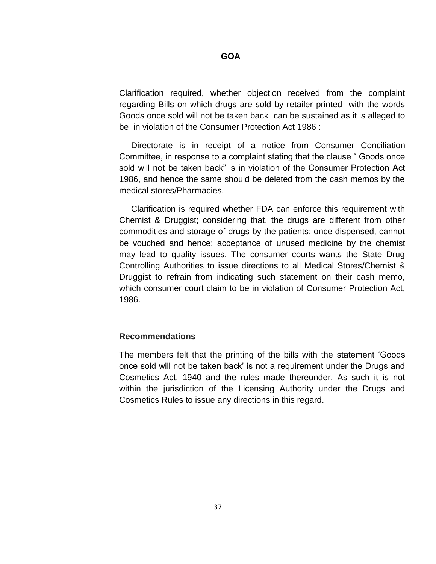#### **GOA**

Clarification required, whether objection received from the complaint regarding Bills on which drugs are sold by retailer printed with the words Goods once sold will not be taken back can be sustained as it is alleged to be in violation of the Consumer Protection Act 1986 :

 Directorate is in receipt of a notice from Consumer Conciliation Committee, in response to a complaint stating that the clause " Goods once sold will not be taken back" is in violation of the Consumer Protection Act 1986, and hence the same should be deleted from the cash memos by the medical stores/Pharmacies.

 Clarification is required whether FDA can enforce this requirement with Chemist & Druggist; considering that, the drugs are different from other commodities and storage of drugs by the patients; once dispensed, cannot be vouched and hence; acceptance of unused medicine by the chemist may lead to quality issues. The consumer courts wants the State Drug Controlling Authorities to issue directions to all Medical Stores/Chemist & Druggist to refrain from indicating such statement on their cash memo, which consumer court claim to be in violation of Consumer Protection Act, 1986.

#### **Recommendations**

The members felt that the printing of the bills with the statement "Goods once sold will not be taken back" is not a requirement under the Drugs and Cosmetics Act, 1940 and the rules made thereunder. As such it is not within the jurisdiction of the Licensing Authority under the Drugs and Cosmetics Rules to issue any directions in this regard.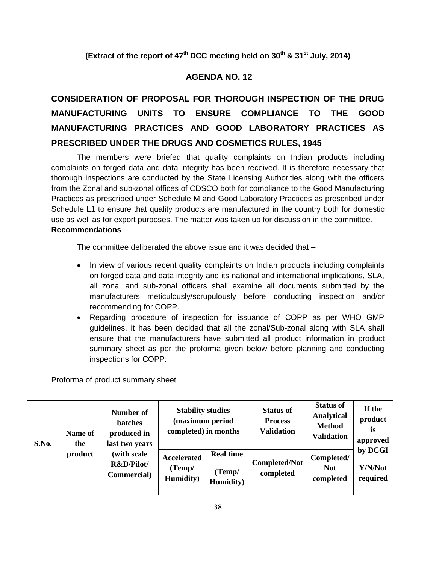**(Extract of the report of 47th DCC meeting held on 30th & 31st July, 2014)**

## **AGENDA NO. 12**

# **CONSIDERATION OF PROPOSAL FOR THOROUGH INSPECTION OF THE DRUG MANUFACTURING UNITS TO ENSURE COMPLIANCE TO THE GOOD MANUFACTURING PRACTICES AND GOOD LABORATORY PRACTICES AS PRESCRIBED UNDER THE DRUGS AND COSMETICS RULES, 1945**

The members were briefed that quality complaints on Indian products including complaints on forged data and data integrity has been received. It is therefore necessary that thorough inspections are conducted by the State Licensing Authorities along with the officers from the Zonal and sub-zonal offices of CDSCO both for compliance to the Good Manufacturing Practices as prescribed under Schedule M and Good Laboratory Practices as prescribed under Schedule L1 to ensure that quality products are manufactured in the country both for domestic use as well as for export purposes. The matter was taken up for discussion in the committee. **Recommendations**

The committee deliberated the above issue and it was decided that –

- In view of various recent quality complaints on Indian products including complaints on forged data and data integrity and its national and international implications, SLA, all zonal and sub-zonal officers shall examine all documents submitted by the manufacturers meticulously/scrupulously before conducting inspection and/or recommending for COPP.
- Regarding procedure of inspection for issuance of COPP as per WHO GMP guidelines, it has been decided that all the zonal/Sub-zonal along with SLA shall ensure that the manufacturers have submitted all product information in product summary sheet as per the proforma given below before planning and conducting inspections for COPP:

Proforma of product summary sheet

| S.No. | Name of<br>the<br>product | Number of<br><b>batches</b><br>produced in<br>last two years<br>(with scale<br>R&D/Pilot/<br>Commercial) | <b>Stability studies</b><br>(maximum period<br>completed) in months |                                                 | <b>Status of</b><br><b>Process</b><br><b>Validation</b> | <b>Status of</b><br><b>Analytical</b><br><b>Method</b><br><b>Validation</b> | If the<br>product<br>is<br>approved |
|-------|---------------------------|----------------------------------------------------------------------------------------------------------|---------------------------------------------------------------------|-------------------------------------------------|---------------------------------------------------------|-----------------------------------------------------------------------------|-------------------------------------|
|       |                           |                                                                                                          | <b>Accelerated</b><br>(Temp/<br><b>Humidity</b> )                   | <b>Real time</b><br>(Temp/<br><b>Humidity</b> ) | <b>Completed/Not</b><br>completed                       | Completed/<br><b>Not</b><br>completed                                       | by DCGI<br>Y/N/Not<br>required      |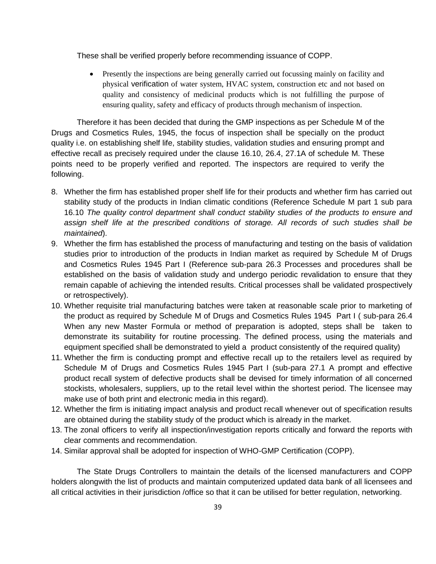These shall be verified properly before recommending issuance of COPP.

 Presently the inspections are being generally carried out focussing mainly on facility and physical verification of water system, HVAC system, construction etc and not based on quality and consistency of medicinal products which is not fulfilling the purpose of ensuring quality, safety and efficacy of products through mechanism of inspection.

Therefore it has been decided that during the GMP inspections as per Schedule M of the Drugs and Cosmetics Rules, 1945, the focus of inspection shall be specially on the product quality i.e. on establishing shelf life, stability studies, validation studies and ensuring prompt and effective recall as precisely required under the clause 16.10, 26.4, 27.1A of schedule M. These points need to be properly verified and reported. The inspectors are required to verify the following.

- 8. Whether the firm has established proper shelf life for their products and whether firm has carried out stability study of the products in Indian climatic conditions (Reference Schedule M part 1 sub para 16.10 *The quality control department shall conduct stability studies of the products to ensure and assign shelf life at the prescribed conditions of storage. All records of such studies shall be maintained*).
- 9. Whether the firm has established the process of manufacturing and testing on the basis of validation studies prior to introduction of the products in Indian market as required by Schedule M of Drugs and Cosmetics Rules 1945 Part I (Reference sub-para 26.3 Processes and procedures shall be established on the basis of validation study and undergo periodic revalidation to ensure that they remain capable of achieving the intended results. Critical processes shall be validated prospectively or retrospectively).
- 10. Whether requisite trial manufacturing batches were taken at reasonable scale prior to marketing of the product as required by Schedule M of Drugs and Cosmetics Rules 1945 Part I ( sub-para 26.4 When any new Master Formula or method of preparation is adopted, steps shall be taken to demonstrate its suitability for routine processing. The defined process, using the materials and equipment specified shall be demonstrated to yield a product consistently of the required quality)
- 11. Whether the firm is conducting prompt and effective recall up to the retailers level as required by Schedule M of Drugs and Cosmetics Rules 1945 Part I (sub-para 27.1 A prompt and effective product recall system of defective products shall be devised for timely information of all concerned stockists, wholesalers, suppliers, up to the retail level within the shortest period. The licensee may make use of both print and electronic media in this regard).
- 12. Whether the firm is initiating impact analysis and product recall whenever out of specification results are obtained during the stability study of the product which is already in the market.
- 13. The zonal officers to verify all inspection/investigation reports critically and forward the reports with clear comments and recommendation.
- 14. Similar approval shall be adopted for inspection of WHO-GMP Certification (COPP).

The State Drugs Controllers to maintain the details of the licensed manufacturers and COPP holders alongwith the list of products and maintain computerized updated data bank of all licensees and all critical activities in their jurisdiction /office so that it can be utilised for better regulation, networking.